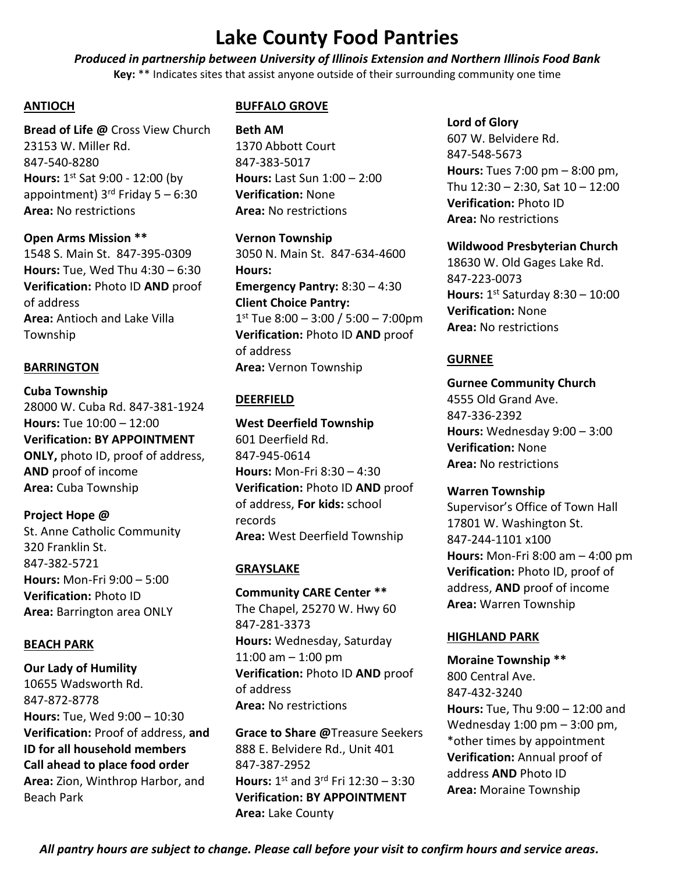*Produced in partnership between University of Illinois Extension and Northern Illinois Food Bank* **Key:** \*\* Indicates sites that assist anyone outside of their surrounding community one time

## **ANTIOCH**

**Bread of Life @** Cross View Church 23153 W. Miller Rd. 847-540-8280 **Hours:** 1 st Sat 9:00 - 12:00 (by appointment)  $3^{rd}$  Friday 5 – 6:30 **Area:** No restrictions

**Open Arms Mission \*\*** 1548 S. Main St. 847-395-0309 **Hours:** Tue, Wed Thu 4:30 – 6:30 **Verification:** Photo ID **AND** proof of address **Area:** Antioch and Lake Villa Township

## **BARRINGTON**

**Cuba Township**  28000 W. Cuba Rd. 847-381-1924 **Hours:** Tue 10:00 – 12:00 **Verification: BY APPOINTMENT ONLY,** photo ID, proof of address, **AND** proof of income **Area:** Cuba Township

**Project Hope @** St. Anne Catholic Community 320 Franklin St. 847-382-5721 **Hours:** Mon-Fri 9:00 – 5:00 **Verification:** Photo ID **Area:** Barrington area ONLY

## **BEACH PARK**

**Our Lady of Humility**  10655 Wadsworth Rd. 847-872-8778 **Hours:** Tue, Wed 9:00 – 10:30 **Verification:** Proof of address, **and ID for all household members Call ahead to place food order Area:** Zion, Winthrop Harbor, and Beach Park

## **BUFFALO GROVE**

**Beth AM**  1370 Abbott Court 847-383-5017 **Hours:** Last Sun 1:00 – 2:00 **Verification:** None **Area:** No restrictions

**Vernon Township**  3050 N. Main St. 847-634-4600 **Hours: Emergency Pantry:** 8:30 – 4:30 **Client Choice Pantry:**  1 st Tue 8:00 – 3:00 / 5:00 – 7:00pm **Verification:** Photo ID **AND** proof of address **Area:** Vernon Township

# **DEERFIELD**

**West Deerfield Township** 601 Deerfield Rd. 847-945-0614 **Hours:** Mon-Fri 8:30 – 4:30 **Verification:** Photo ID **AND** proof of address, **For kids:** school records **Area:** West Deerfield Township

# **GRAYSLAKE**

**Community CARE Center \*\*** The Chapel, 25270 W. Hwy 60 847-281-3373 **Hours:** Wednesday, Saturday 11:00 am – 1:00 pm **Verification:** Photo ID **AND** proof of address **Area:** No restrictions

**Grace to Share @**Treasure Seekers 888 E. Belvidere Rd., Unit 401 847-387-2952 **Hours:** 1 st and 3rd Fri 12:30 – 3:30 **Verification: BY APPOINTMENT Area:** Lake County

**Lord of Glory**  607 W. Belvidere Rd. 847-548-5673 **Hours:** Tues 7:00 pm – 8:00 pm, Thu 12:30 – 2:30, Sat 10 – 12:00 **Verification:** Photo ID **Area:** No restrictions

### **Wildwood Presbyterian Church**

18630 W. Old Gages Lake Rd. 847-223-0073 **Hours:** 1 st Saturday 8:30 – 10:00 **Verification:** None **Area:** No restrictions

### **GURNEE**

**Gurnee Community Church** 4555 Old Grand Ave. 847-336-2392 **Hours:** Wednesday 9:00 – 3:00 **Verification:** None **Area:** No restrictions

### **Warren Township**

Supervisor's Office of Town Hall 17801 W. Washington St. 847-244-1101 x100 **Hours:** Mon-Fri 8:00 am – 4:00 pm **Verification:** Photo ID, proof of address, **AND** proof of income **Area:** Warren Township

## **HIGHLAND PARK**

**Moraine Township \*\*** 800 Central Ave. 847-432-3240 **Hours:** Tue, Thu 9:00 – 12:00 and Wednesday 1:00 pm – 3:00 pm, \*other times by appointment **Verification:** Annual proof of address **AND** Photo ID **Area:** Moraine Township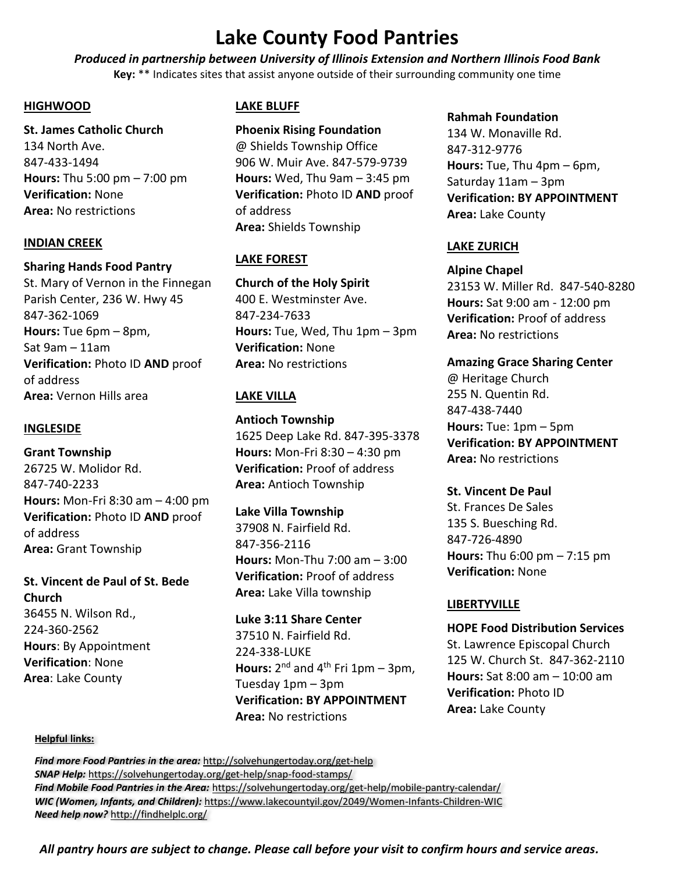*Produced in partnership between University of Illinois Extension and Northern Illinois Food Bank* **Key:** \*\* Indicates sites that assist anyone outside of their surrounding community one time

### **HIGHWOOD**

**St. James Catholic Church**  134 North Ave. 847-433-1494 **Hours:** Thu 5:00 pm – 7:00 pm **Verification:** None **Area:** No restrictions

### **INDIAN CREEK**

### **Sharing Hands Food Pantry**

St. Mary of Vernon in the Finnegan Parish Center, 236 W. Hwy 45 847-362-1069 **Hours:** Tue 6pm – 8pm, Sat 9am – 11am **Verification:** Photo ID **AND** proof of address **Area:** Vernon Hills area

### **INGLESIDE**

**Grant Township** 26725 W. Molidor Rd. 847-740-2233 **Hours:** Mon-Fri 8:30 am – 4:00 pm **Verification:** Photo ID **AND** proof of address **Area:** Grant Township

# **St. Vincent de Paul of St. Bede Church** 36455 N. Wilson Rd., 224-360-2562

**Hours**: By Appointment **Verification**: None **Area**: Lake County

### **LAKE BLUFF**

**Phoenix Rising Foundation** @ Shields Township Office 906 W. Muir Ave. 847-579-9739 **Hours:** Wed, Thu 9am – 3:45 pm **Verification:** Photo ID **AND** proof of address **Area:** Shields Township

## **LAKE FOREST**

**Church of the Holy Spirit**  400 E. Westminster Ave. 847-234-7633 **Hours:** Tue, Wed, Thu 1pm – 3pm **Verification:** None **Area:** No restrictions

# **LAKE VILLA**

**Antioch Township** 1625 Deep Lake Rd. 847-395-3378 **Hours:** Mon-Fri 8:30 – 4:30 pm **Verification:** Proof of address **Area:** Antioch Township

**Lake Villa Township** 37908 N. Fairfield Rd. 847-356-2116 **Hours:** Mon-Thu 7:00 am – 3:00 **Verification:** Proof of address **Area:** Lake Villa township

**Luke 3:11 Share Center** 37510 N. Fairfield Rd. 224-338-LUKE Hours: 2<sup>nd</sup> and 4<sup>th</sup> Fri 1pm – 3pm, Tuesday 1pm – 3pm **Verification: BY APPOINTMENT Area:** No restrictions

## **Rahmah Foundation**  134 W. Monaville Rd. 847-312-9776 **Hours:** Tue, Thu 4pm – 6pm, Saturday 11am – 3pm **Verification: BY APPOINTMENT Area:** Lake County

## **LAKE ZURICH**

**Alpine Chapel** 

23153 W. Miller Rd. 847-540-8280 **Hours:** Sat 9:00 am - 12:00 pm **Verification:** Proof of address **Area:** No restrictions

### **Amazing Grace Sharing Center**

@ Heritage Church 255 N. Quentin Rd. 847-438-7440 **Hours:** Tue: 1pm – 5pm **Verification: BY APPOINTMENT Area:** No restrictions

## **St. Vincent De Paul**

St. Frances De Sales 135 S. Buesching Rd. 847-726-4890 **Hours:** Thu 6:00 pm – 7:15 pm **Verification:** None

### **LIBERTYVILLE**

**HOPE Food Distribution Services** St. Lawrence Episcopal Church 125 W. Church St. 847-362-2110 **Hours:** Sat 8:00 am – 10:00 am **Verification:** Photo ID **Area:** Lake County

#### **Helpful links:**

*Find more Food Pantries in the area:* <http://solvehungertoday.org/get-help> *SNAP Help:* <https://solvehungertoday.org/get-help/snap-food-stamps/> *Find Mobile Food Pantries in the Area:* <https://solvehungertoday.org/get-help/mobile-pantry-calendar/> *WIC (Women, Infants, and Children):* https://www.lakecountyil.gov/2049/Women-Infants-Children-WIC *Need help now?* http://findhelplc.org/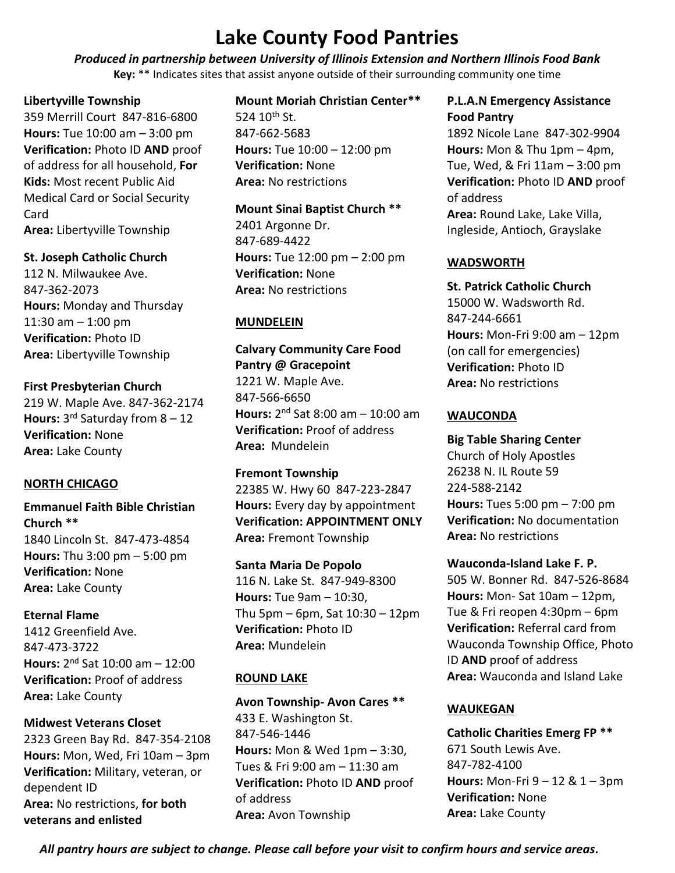*Produced in partnership between University of Illinois Extension and Northern Illinois Food Bank* **Key:** \*\* Indicates sites that assist anyone outside of their surrounding community one time

### **Libertyville Township**

359 Merrill Court 847-816-6800 **Hours:** Tue 10:00 am – 3:00 pm **Verification:** Photo ID **AND** proof of address for all household, **For Kids:** Most recent Public Aid Medical Card or Social Security Card **Area:** Libertyville Township

### **St. Joseph Catholic Church**

112 N. Milwaukee Ave. 847-362-2073 **Hours:** Monday and Thursday 11:30 am  $-$  1:00 pm **Verification:** Photo ID **Area:** Libertyville Township

**First Presbyterian Church** 219 W. Maple Ave. 847-362-2174 **Hours:** 3 rd Saturday from 8 – 12 **Verification:** None **Area:** Lake County

## **NORTH CHICAGO**

**Emmanuel Faith Bible Christian Church \*\*** 1840 Lincoln St. 847-473-4854 **Hours:** Thu 3:00 pm – 5:00 pm **Verification:** None **Area:** Lake County

**Eternal Flame**  1412 Greenfield Ave. 847-473-3722 **Hours:** 2 nd Sat 10:00 am – 12:00 **Verification:** Proof of address **Area:** Lake County

## **Midwest Veterans Closet**

2323 Green Bay Rd. 847-354-2108 **Hours:** Mon, Wed, Fri 10am – 3pm **Verification:** Military, veteran, or dependent ID **Area:** No restrictions, **for both veterans and enlisted**

### **Mount Moriah Christian Center\*\***

524  $10^{th}$  St. 847-662-5683 **Hours:** Tue 10:00 – 12:00 pm **Verification:** None **Area:** No restrictions

**Mount Sinai Baptist Church \*\***

2401 Argonne Dr. 847-689-4422 **Hours:** Tue 12:00 pm – 2:00 pm **Verification:** None **Area:** No restrictions

## **MUNDELEIN**

**Calvary Community Care Food Pantry @ Gracepoint** 1221 W. Maple Ave. 847-566-6650 **Hours:** 2 nd Sat 8:00 am – 10:00 am **Verification:** Proof of address **Area:** Mundelein

**Fremont Township** 22385 W. Hwy 60 847-223-2847 **Hours:** Every day by appointment **Verification: APPOINTMENT ONLY Area:** Fremont Township

**Santa Maria De Popolo** 116 N. Lake St. 847-949-8300 **Hours:** Tue 9am – 10:30, Thu 5pm – 6pm, Sat 10:30 – 12pm **Verification:** Photo ID **Area:** Mundelein

# **ROUND LAKE**

**Avon Township- Avon Cares \*\*** 433 E. Washington St. 847-546-1446 **Hours:** Mon & Wed 1pm – 3:30, Tues & Fri 9:00 am – 11:30 am **Verification:** Photo ID **AND** proof of address **Area:** Avon Township

**P.L.A.N Emergency Assistance Food Pantry** 

1892 Nicole Lane 847-302-9904 **Hours:** Mon & Thu 1pm – 4pm, Tue, Wed, & Fri 11am – 3:00 pm **Verification:** Photo ID **AND** proof of address **Area:** Round Lake, Lake Villa, Ingleside, Antioch, Grayslake

## **WADSWORTH**

**St. Patrick Catholic Church** 15000 W. Wadsworth Rd. 847-244-6661 **Hours:** Mon-Fri 9:00 am – 12pm (on call for emergencies) **Verification:** Photo ID **Area:** No restrictions

### **WAUCONDA**

**Big Table Sharing Center** Church of Holy Apostles 26238 N. IL Route 59 224-588-2142 **Hours:** Tues 5:00 pm – 7:00 pm **Verification:** No documentation **Area:** No restrictions

**Wauconda-Island Lake F. P.** 505 W. Bonner Rd. 847-526-8684 **Hours:** Mon- Sat 10am – 12pm, Tue & Fri reopen 4:30pm – 6pm **Verification:** Referral card from Wauconda Township Office, Photo ID **AND** proof of address **Area:** Wauconda and Island Lake

# **WAUKEGAN**

**Catholic Charities Emerg FP \*\*** 671 South Lewis Ave. 847-782-4100 **Hours:** Mon-Fri 9 – 12 & 1 – 3pm **Verification:** None **Area:** Lake County